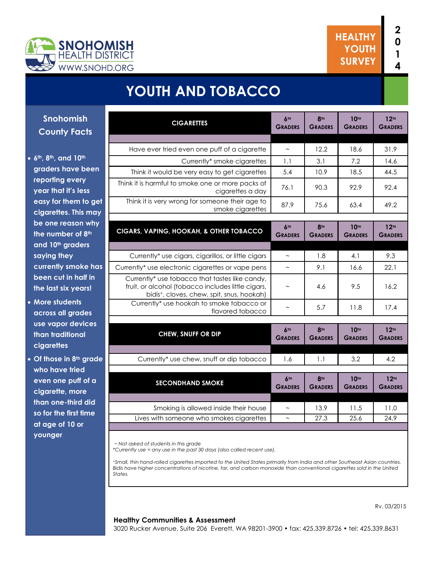

# **YOUTH AND TOBACCO**

| <b>Snohomish</b>    |  |
|---------------------|--|
| <b>County Facts</b> |  |

#### **6th, 8th, and 10th graders have been reporting every year that it's less easy for them to get cigarettes. This may be one reason why the number of 8th and 10th graders saying they currently smoke has been cut in half in the last six years!**

- **More students across all grades use vapor devices than traditional cigarettes**
- **Of those in 8th grade who have tried even one puff of a cigarette, more than one-third did so for the first time at age of 10 or younger**

| <b>CIGARETTES</b>                                                                                                                                              | 6TH<br><b>GRADERS</b>     | <b>8TH</b><br><b>GRADERS</b> | <b>10TH</b><br><b>GRADERS</b> | 12 <sub>TH</sub><br><b>GRADERS</b>   |
|----------------------------------------------------------------------------------------------------------------------------------------------------------------|---------------------------|------------------------------|-------------------------------|--------------------------------------|
|                                                                                                                                                                |                           |                              |                               |                                      |
| Have ever tried even one puff of a cigarette                                                                                                                   | $\sim$                    | 12.2                         | 18.6                          | 31.9                                 |
| Currently* smoke cigarettes                                                                                                                                    | 1.1                       | 3.1                          | 7.2                           | 14.6                                 |
| Think it would be very easy to get cigarettes                                                                                                                  | 5.4                       | 10.9                         | 18.5                          | 44.5                                 |
| Think it is harmful to smoke one or more packs of<br>cigarettes a day                                                                                          | 76.1                      | 90.3                         | 92.9                          | 92.4                                 |
| Think it is very wrong for someone their age to<br>smoke cigarettes                                                                                            | 87.9                      | 75.6                         | 63.4                          | 49.2                                 |
| CIGARS, VAPING, HOOKAH, & OTHER TOBACCO                                                                                                                        | 6TH<br><b>GRADERS</b>     | <b>8TH</b><br><b>GRADERS</b> | <b>10TH</b><br><b>GRADERS</b> | 12 <sup>TH</sup><br><b>GRADERS</b>   |
| Currently* use cigars, cigarillos, or little cigars                                                                                                            |                           | 1.8                          | 4.1                           | 9.3                                  |
|                                                                                                                                                                |                           |                              |                               |                                      |
| Currently* use electronic cigarettes or vape pens                                                                                                              | $\thicksim$               | 9.1                          | 16.6                          | 22.1                                 |
| Currently* use tobacco that tastes like candy,<br>fruit, or alcohol (tobacco includes little cigars,<br>bidis <sup>+</sup> , cloves, chew, spit, snus, hookah) | $\tilde{\phantom{a}}$     | 4.6                          | 9.5                           | 16.2                                 |
| Currently* use hookah to smoke tobacco or<br>flavored tobacco                                                                                                  | $\tilde{}$                | 5.7                          | 11.8                          | 17.4                                 |
|                                                                                                                                                                |                           |                              |                               |                                      |
| <b>CHEW, SNUFF OR DIP</b>                                                                                                                                      | 6TH<br><b>GRADERS</b>     | <b>8TH</b><br><b>GRADERS</b> | <b>10TH</b><br><b>GRADERS</b> | 12 <sup>TH</sup><br><b>GRADERS</b>   |
|                                                                                                                                                                |                           |                              |                               |                                      |
| Currently* use chew, snuff or dip tobacco                                                                                                                      | 1.6                       | 1.1                          | 3.2                           | 4.2                                  |
|                                                                                                                                                                |                           |                              |                               |                                      |
| <b>SECONDHAND SMOKE</b>                                                                                                                                        | 6TH<br><b>GRADERS</b>     | <b>8TH</b><br><b>GRADERS</b> | <b>10TH</b><br><b>GRADERS</b> | $12$ <sup>TH</sup><br><b>GRADERS</b> |
|                                                                                                                                                                | $\widetilde{\phantom{m}}$ |                              |                               |                                      |
| Smoking is allowed inside their house                                                                                                                          |                           | 13.9                         | 11.5                          | 11.0                                 |
| Lives with someone who smokes cigarettes                                                                                                                       | $\tilde{}$                | 27.3                         | 25.6                          | 24.9                                 |

*~ Not asked of students in this grade*

*\*Currently use = any use in the past 30 days (also called recent use).* 

<sup>+</sup>*Small, thin hand-rolled cigarettes imported to the United States primarily from India and other Southeast Asian countries. Bidis have higher concentrations of nicotine, tar, and carbon monoxide than conventional cigarettes sold in the United States.*

#### **Healthy Communities & Assessment**

Rv. 03/2015

3020 Rucker Avenue, Suite 206 Everett, WA 98201-3900 • fax: 425.339.8726 • tel: 425.339.8631